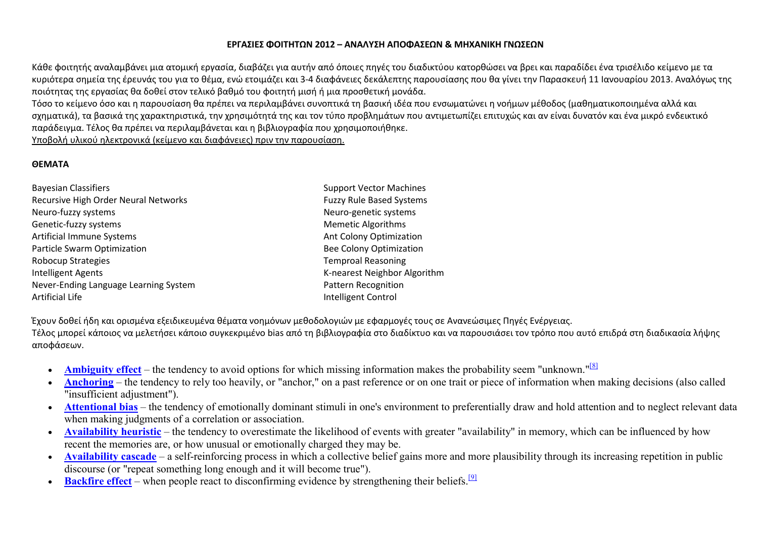## **ΕΡΓΑΣΙΕΣ ΦΟΙΤΗΤΩΝ 2012 – ΑΝΑΛΥΣΗ ΑΠΟΦΑΣΕΩΝ & ΜΗΧΑΝΙΚΗ ΓΝΩΣΕΩΝ**

Κάθε φοιτητής αναλαμβάνει μια ατομική εργασία, διαβάζει για αυτήν από όποιες πηγές του διαδικτύου κατορθώσει να βρει και παραδίδει ένα τρισέλιδο κείμενο με τα κυριότερα σημεία της έρευνάς του για το θέμα, ενώ ετοιμάζει και 3-4 διαφάνειες δεκάλεπτης παρουσίασης που θα γίνει την Παρασκευή 11 Ιανουαρίου 2013. Αναλόγως της ποιότητας της εργασίας θα δοθεί στον τελικό βαθμό του φοιτητή μισή ή μια προσθετική μονάδα.

 Τόσο το κείμενο όσο και η παρουσίαση θα πρέπει να περιλαμβάνει συνοπτικά τη βασική ιδέα που ενσωματώνει η νοήμων μέθοδος (μαθηματικοποιημένα αλλά και σχηματικά), τα βασικά της χαρακτηριστικά, την χρησιμότητά της και τον τύπο προβλημάτων που αντιμετωπίζει επιτυχώς και αν είναι δυνατόν και ένα μικρό ενδεικτικό παράδειγμα. Τέλος θα πρέπει να περιλαμβάνεται και η βιβλιογραφία που χρησιμοποιήθηκε.

Υποβολή υλικού ηλεκτρονικά (κείμενο και διαφάνειες) πριν την παρουσίαση.

## **ΘΕΜΑΤΑ**

| <b>Bayesian Classifiers</b>           | <b>Support Vector Machines</b>  |
|---------------------------------------|---------------------------------|
| Recursive High Order Neural Networks  | <b>Fuzzy Rule Based Systems</b> |
| Neuro-fuzzy systems                   | Neuro-genetic systems           |
| Genetic-fuzzy systems                 | <b>Memetic Algorithms</b>       |
| Artificial Immune Systems             | Ant Colony Optimization         |
| Particle Swarm Optimization           | <b>Bee Colony Optimization</b>  |
| <b>Robocup Strategies</b>             | <b>Temproal Reasoning</b>       |
| <b>Intelligent Agents</b>             | K-nearest Neighbor Algorithm    |
| Never-Ending Language Learning System | <b>Pattern Recognition</b>      |
| <b>Artificial Life</b>                | Intelligent Control             |

Έχουν δοθεί ήδη και ορισμένα εξειδικευμένα θέματα νοημόνων μεθοδολογιών με εφαρμογές τους σε Ανανεώσιμες Πηγές Ενέργειας. Τέλος μπορεί κάποιος να μελετήσει κάποιο συγκεκριμένο bias από τη βιβλιογραφία στο διαδίκτυο και να παρουσιάσει τον τρόπο που αυτό επιδρά στη διαδικασία λήψης αποφάσεων.

- •Ambiguity effect – the tendency to avoid options for which missing information makes the probability seem "unknown."<sup>[8]</sup>
- • **Anchoring** – the tendency to rely too heavily, or "anchor," on a past reference or on one trait or piece of information when making decisions (also called "insufficient adjustment").
- **Attentional bias** the tendency of emotionally dominant stimuli in one's environment to preferentially draw and hold attention and to neglect relevant data •when making judgments of a correlation or association.
- • **Availability heuristic** – the tendency to overestimate the likelihood of events with greater "availability" in memory, which can be influenced by how recent the memories are, or how unusual or emotionally charged they may be.
- **Availability cascade** a self-reinforcing process in which a collective belief gains more and more plausibility through its increasing repetition in public  $\bullet$ discourse (or "repeat something long enough and it will become true").
- **Backfire effect** when people react to disconfirming evidence by strengthening their beliefs.<sup>[9]</sup> •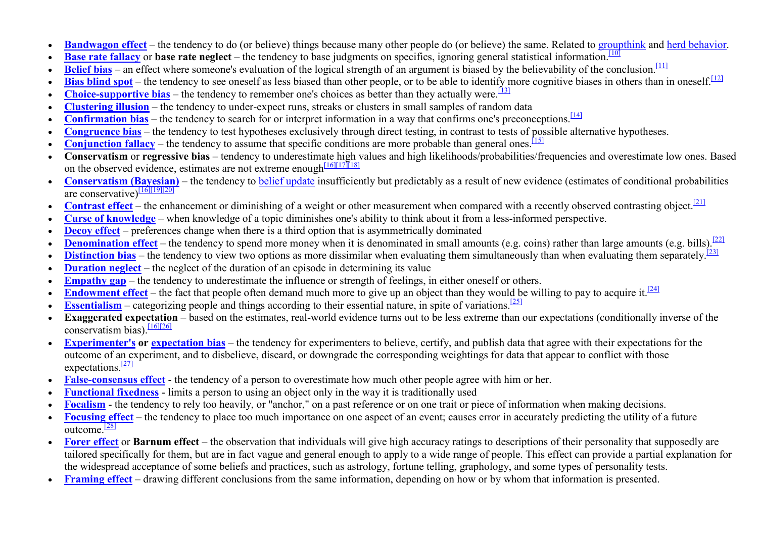- •**Bandwagon effect** – the tendency to do (or believe) things because many other people do (or believe) the same. Related to groupthink and herd behavior.
- •**Base rate fallacy** or **base rate neglect** – the tendency to base judgments on specifics, ignoring general statistical information.<sup>[10]</sup>
- •**Belief bias** – an effect where someone's evaluation of the logical strength of an argument is biased by the believability of the conclusion.<sup>[11]</sup>
- •**Bias blind spot** – the tendency to see oneself as less biased than other people, or to be able to identify more cognitive biases in others than in oneself.<sup>[12]</sup>
- •**Choice-supportive bias** – the tendency to remember one's choices as better than they actually were.<sup>[13]</sup>
- •**Clustering illusion** – the tendency to under-expect runs, streaks or clusters in small samples of random data
- •**Confirmation bias** – the tendency to search for or interpret information in a way that confirms one's preconceptions.<sup>[14]</sup>
- •**Congruence bias** – the tendency to test hypotheses exclusively through direct testing, in contrast to tests of possible alternative hypotheses.
- •**Conjunction fallacy** – the tendency to assume that specific conditions are more probable than general ones.<sup>[15]</sup>
- • **Conservatism** or **regressive bias** – tendency to underestimate high values and high likelihoods/probabilities/frequencies and overestimate low ones. Based on the observed evidence, estimates are not extreme enough $\frac{[16][17][18]}{[18]}$
- • **Conservatism (Bayesian)** – the tendency to belief update insufficiently but predictably as a result of new evidence (estimates of conditional probabilities are conservative)<sup>[16][19][20]</sup>
- •**Contrast effect** – the enhancement or diminishing of a weight or other measurement when compared with a recently observed contrasting object.[21]
- •**Curse of knowledge** – when knowledge of a topic diminishes one's ability to think about it from a less-informed perspective.
- •**Decoy effect** – preferences change when there is a third option that is asymmetrically dominated
- •**Denomination effect** – the tendency to spend more money when it is denominated in small amounts (e.g. coins) rather than large amounts (e.g. bills).<sup>[22]</sup>
- •**Distinction bias** – the tendency to view two options as more dissimilar when evaluating them simultaneously than when evaluating them separately.<sup>[23]</sup>
- •**Duration neglect** – the neglect of the duration of an episode in determining its value
- •**Empathy gap** – the tendency to underestimate the influence or strength of feelings, in either oneself or others.
- •**Endowment effect** – the fact that people often demand much more to give up an object than they would be willing to pay to acquire it.<sup>[24]</sup>
- •**Essentialism** – categorizing people and things according to their essential nature, in spite of variations.<sup>[25]</sup>
- • **Exaggerated expectation** – based on the estimates, real-world evidence turns out to be less extreme than our expectations (conditionally inverse of the conservatism bias).  $\frac{[16][26]}{[16][26]}$
- • **Experimenter's or expectation bias** – the tendency for experimenters to believe, certify, and publish data that agree with their expectations for the outcome of an experiment, and to disbelieve, discard, or downgrade the corresponding weightings for data that appear to conflict with those expectations $\frac{[27]}{[27]}$
- •**False-consensus effect** - the tendency of a person to overestimate how much other people agree with him or her.
- •**Functional fixedness** - limits a person to using an object only in the way it is traditionally used
- •**Focalism** - the tendency to rely too heavily, or "anchor," on a past reference or on one trait or piece of information when making decisions.
- • **Focusing effect** – the tendency to place too much importance on one aspect of an event; causes error in accurately predicting the utility of a future outcome.<sup>[28]</sup>
- • **Forer effect** or **Barnum effect** – the observation that individuals will give high accuracy ratings to descriptions of their personality that supposedly are tailored specifically for them, but are in fact vague and general enough to apply to a wide range of people. This effect can provide a partial explanation for the widespread acceptance of some beliefs and practices, such as astrology, fortune telling, graphology, and some types of personality tests.
- •**Framing effect** – drawing different conclusions from the same information, depending on how or by whom that information is presented.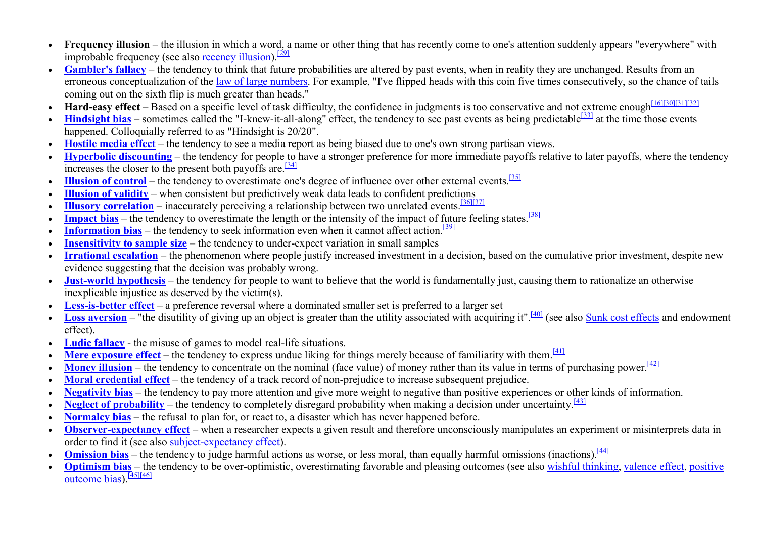- • **Frequency illusion** – the illusion in which a word, a name or other thing that has recently come to one's attention suddenly appears "everywhere" with improbable frequency (see also recency illusion).<sup>[29]</sup>
- •Gambler's fallacy – the tendency to think that future probabilities are altered by past events, when in reality they are unchanged. Results from an erroneous conceptualization of the law of large numbers. For example, "I've flipped heads with this coin five times consecutively, so the chance of tails coming out on the sixth flip is much greater than heads."
- **Hard-easy effect** Based on a specific level of task difficulty, the confidence in judgments is too conservative and not extreme enough<sup>[16][30][31][32]</sub></sup> •
- •**Hindsight bias** – sometimes called the "I-knew-it-all-along" effect, the tendency to see past events as being predictable<sup>[33]</sup> at the time those events happened. Colloquially referred to as "Hindsight is 20/20".
- **Hostile media effect** the tendency to see a media report as being biased due to one's own strong partisan views. •
- • **Hyperbolic discounting** – the tendency for people to have a stronger preference for more immediate payoffs relative to later payoffs, where the tendency increases the closer to the present both payoffs are.<sup>[34]</sup>
- •**Illusion of control** – the tendency to overestimate one's degree of influence over other external events.<sup>[35]</sup>
- •**Illusion of validity** – when consistent but predictively weak data leads to confident predictions
- •**Illusory correlation** – inaccurately perceiving a relationship between two unrelated events.<sup>[36][37]</sup>
- •**Impact bias** – the tendency to overestimate the length or the intensity of the impact of future feeling states.<sup>[38]</sup>
- •**Information bias** – the tendency to seek information even when it cannot affect action.<sup>[39]</sup>
- •**Insensitivity to sample size** – the tendency to under-expect variation in small samples
- • **Irrational escalation** – the phenomenon where people justify increased investment in a decision, based on the cumulative prior investment, despite new evidence suggesting that the decision was probably wrong.
- **Just-world hypothesis** the tendency for people to want to believe that the world is fundamentally just, causing them to rationalize an otherwise •inexplicable injustice as deserved by the victim(s).
- •**Less-is-better effect** – a preference reversal where a dominated smaller set is preferred to a larger set
- •**Loss aversion** – "the disutility of giving up an object is greater than the utility associated with acquiring it".<sup>[40]</sup> (see also Sunk cost effects and endowment effect).
- Ludic fallacy the misuse of games to model real-life situations. •
- •**Mere exposure effect** – the tendency to express undue liking for things merely because of familiarity with them.<sup>[41]</sup>
- •**Money illusion** – the tendency to concentrate on the nominal (face value) of money rather than its value in terms of purchasing power.<sup>[42]</sup>
- •**Moral credential effect** – the tendency of a track record of non-prejudice to increase subsequent prejudice.
- •**Negativity bias** – the tendency to pay more attention and give more weight to negative than positive experiences or other kinds of information.
- •**Neglect of probability** – the tendency to completely disregard probability when making a decision under uncertainty.<sup>[43]</sup>
- •**Normalcy bias** – the refusal to plan for, or react to, a disaster which has never happened before.
- •**Observer-expectancy effect** – when a researcher expects a given result and therefore unconsciously manipulates an experiment or misinterprets data in order to find it (see also subject-expectancy effect).
- **Omission bias** the tendency to judge harmful actions as worse, or less moral, than equally harmful omissions (inactions).<sup>[44]</sup> •
- • **Optimism bias** – the tendency to be over-optimistic, overestimating favorable and pleasing outcomes (see also wishful thinking, valence effect, positive outcome bias).<sup>[45][46]</sup>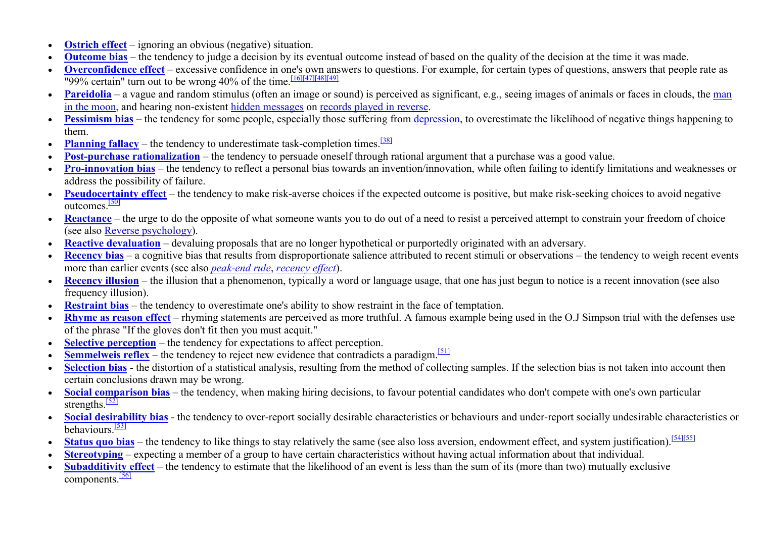- •**Ostrich effect** – ignoring an obvious (negative) situation.
- •**Outcome bias** – the tendency to judge a decision by its eventual outcome instead of based on the quality of the decision at the time it was made.
- •**Overconfidence effect** – excessive confidence in one's own answers to questions. For example, for certain types of questions, answers that people rate as "99% certain" turn out to be wrong 40% of the time.  $\frac{[16][47][48][49]}{[16][47][48][49]}$
- •**Pareidolia** – a vague and random stimulus (often an image or sound) is perceived as significant, e.g., seeing images of animals or faces in clouds, the man in the moon, and hearing non-existent hidden messages on records played in reverse.
- **Pessimism bias** the tendency for some people, especially those suffering from *depression*, to overestimate the likelihood of negative things happening to •them.
- Planning fallacy the tendency to underestimate task-completion times.<sup>[38]</sup> •
- •**Post-purchase rationalization** – the tendency to persuade oneself through rational argument that a purchase was a good value.
- • **Pro-innovation bias** – the tendency to reflect a personal bias towards an invention/innovation, while often failing to identify limitations and weaknesses or address the possibility of failure.
- Pseudocertainty effect the tendency to make risk-averse choices if the expected outcome is positive, but make risk-seeking choices to avoid negative •outcomes.[50]
- • **Reactance** – the urge to do the opposite of what someone wants you to do out of a need to resist a perceived attempt to constrain your freedom of choice (see also Reverse psychology).
- Reactive devaluation devaluing proposals that are no longer hypothetical or purportedly originated with an adversary. •
- •**Recency bias** – a cognitive bias that results from disproportionate salience attributed to recent stimuli or observations – the tendency to weigh recent events more than earlier events (see also *peak-end rule*, *recency effect*).
- Recency illusion the illusion that a phenomenon, typically a word or language usage, that one has just begun to notice is a recent innovation (see also •frequency illusion).
- •**Restraint bias** – the tendency to overestimate one's ability to show restraint in the face of temptation.
- • **Rhyme as reason effect** – rhyming statements are perceived as more truthful. A famous example being used in the O.J Simpson trial with the defenses use of the phrase "If the gloves don't fit then you must acquit."
- **Selective perception** the tendency for expectations to affect perception. •
- •**Semmelweis reflex** – the tendency to reject new evidence that contradicts a paradigm.<sup>[51]</sup>
- •**Selection bias** - the distortion of a statistical analysis, resulting from the method of collecting samples. If the selection bias is not taken into account then certain conclusions drawn may be wrong.
- Social comparison bias the tendency, when making hiring decisions, to favour potential candidates who don't compete with one's own particular •strengths. $\frac{52}{2}$
- •**Social desirability bias** - the tendency to over-report socially desirable characteristics or behaviours and under-report socially undesirable characteristics or behaviours<sup>[53]</sup>
- •**Status quo bias** – the tendency to like things to stay relatively the same (see also loss aversion, endowment effect, and system justification).<sup>[54][55]</sup>
- •**Stereotyping** – expecting a member of a group to have certain characteristics without having actual information about that individual.
- • **Subadditivity effect** – the tendency to estimate that the likelihood of an event is less than the sum of its (more than two) mutually exclusive components.<sup>[56]</sup>